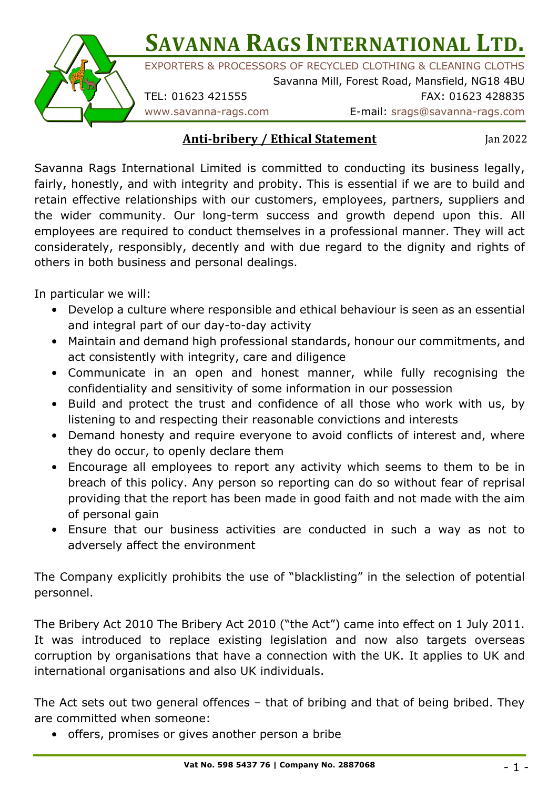# **SAVANNA RAGS INTERNATIONAL LTD.**



EXPORTERS & PROCESSORS OF RECYCLED CLOTHING & CLEANING CLOTHS

Savanna Mill, Forest Road, Mansfield, NG18 4BU TEL: 01623 421555 FAX: 01623 428835

www.savanna-rags.com E-mail: srags@savanna-rags.com

#### **Anti-bribery / Ethical Statement**

Jan 2022

Savanna Rags International Limited is committed to conducting its business legally, fairly, honestly, and with integrity and probity. This is essential if we are to build and retain effective relationships with our customers, employees, partners, suppliers and the wider community. Our long-term success and growth depend upon this. All employees are required to conduct themselves in a professional manner. They will act considerately, responsibly, decently and with due regard to the dignity and rights of others in both business and personal dealings.

In particular we will:

- Develop a culture where responsible and ethical behaviour is seen as an essential and integral part of our day-to-day activity
- Maintain and demand high professional standards, honour our commitments, and act consistently with integrity, care and diligence
- Communicate in an open and honest manner, while fully recognising the confidentiality and sensitivity of some information in our possession
- Build and protect the trust and confidence of all those who work with us, by listening to and respecting their reasonable convictions and interests
- Demand honesty and require everyone to avoid conflicts of interest and, where they do occur, to openly declare them
- Encourage all employees to report any activity which seems to them to be in breach of this policy. Any person so reporting can do so without fear of reprisal providing that the report has been made in good faith and not made with the aim of personal gain
- Ensure that our business activities are conducted in such a way as not to adversely affect the environment

The Company explicitly prohibits the use of "blacklisting" in the selection of potential personnel.

The Bribery Act 2010 The Bribery Act 2010 ("the Act") came into effect on 1 July 2011. It was introduced to replace existing legislation and now also targets overseas corruption by organisations that have a connection with the UK. It applies to UK and international organisations and also UK individuals.

The Act sets out two general offences – that of bribing and that of being bribed. They are committed when someone:

• offers, promises or gives another person a bribe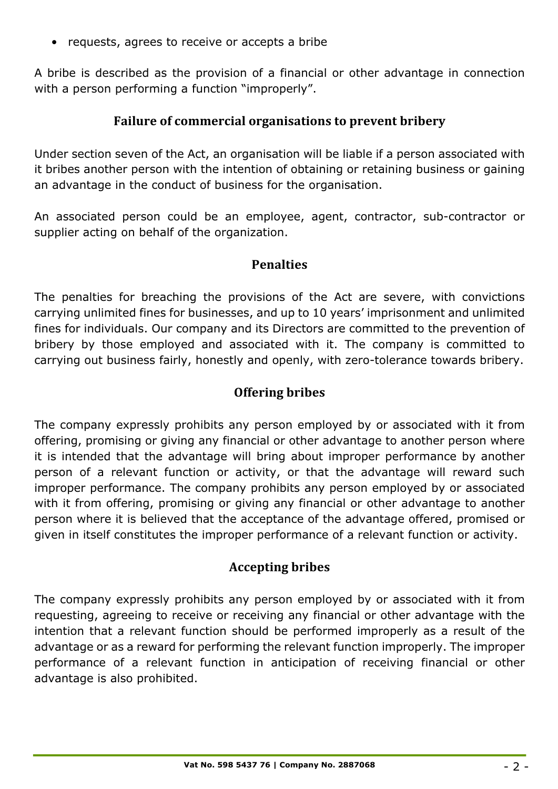• requests, agrees to receive or accepts a bribe

A bribe is described as the provision of a financial or other advantage in connection with a person performing a function "improperly".

## **Failure of commercial organisations to prevent bribery**

Under section seven of the Act, an organisation will be liable if a person associated with it bribes another person with the intention of obtaining or retaining business or gaining an advantage in the conduct of business for the organisation.

An associated person could be an employee, agent, contractor, sub-contractor or supplier acting on behalf of the organization.

#### **Penalties**

The penalties for breaching the provisions of the Act are severe, with convictions carrying unlimited fines for businesses, and up to 10 years' imprisonment and unlimited fines for individuals. Our company and its Directors are committed to the prevention of bribery by those employed and associated with it. The company is committed to carrying out business fairly, honestly and openly, with zero-tolerance towards bribery.

#### **Offering bribes**

The company expressly prohibits any person employed by or associated with it from offering, promising or giving any financial or other advantage to another person where it is intended that the advantage will bring about improper performance by another person of a relevant function or activity, or that the advantage will reward such improper performance. The company prohibits any person employed by or associated with it from offering, promising or giving any financial or other advantage to another person where it is believed that the acceptance of the advantage offered, promised or given in itself constitutes the improper performance of a relevant function or activity.

## **Accepting bribes**

The company expressly prohibits any person employed by or associated with it from requesting, agreeing to receive or receiving any financial or other advantage with the intention that a relevant function should be performed improperly as a result of the advantage or as a reward for performing the relevant function improperly. The improper performance of a relevant function in anticipation of receiving financial or other advantage is also prohibited.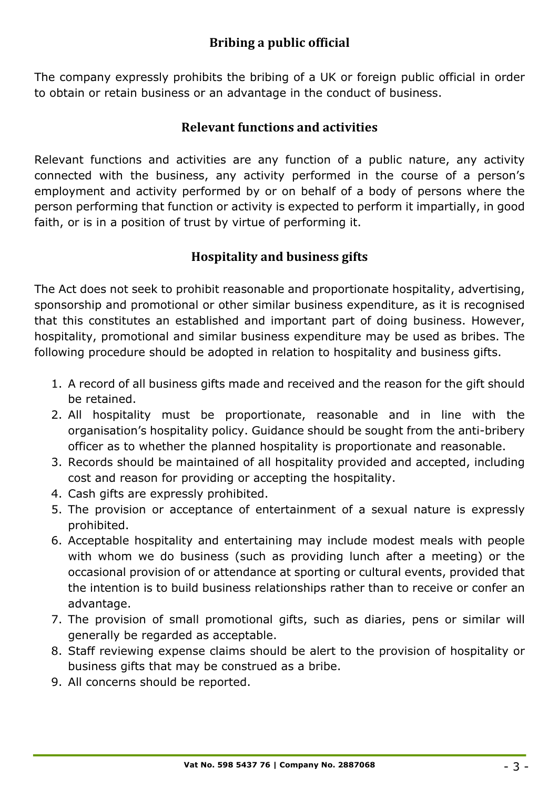## **Bribing a public official**

The company expressly prohibits the bribing of a UK or foreign public official in order to obtain or retain business or an advantage in the conduct of business.

#### **Relevant functions and activities**

Relevant functions and activities are any function of a public nature, any activity connected with the business, any activity performed in the course of a person's employment and activity performed by or on behalf of a body of persons where the person performing that function or activity is expected to perform it impartially, in good faith, or is in a position of trust by virtue of performing it.

## **Hospitality and business gifts**

The Act does not seek to prohibit reasonable and proportionate hospitality, advertising, sponsorship and promotional or other similar business expenditure, as it is recognised that this constitutes an established and important part of doing business. However, hospitality, promotional and similar business expenditure may be used as bribes. The following procedure should be adopted in relation to hospitality and business gifts.

- 1. A record of all business gifts made and received and the reason for the gift should be retained.
- 2. All hospitality must be proportionate, reasonable and in line with the organisation's hospitality policy. Guidance should be sought from the anti-bribery officer as to whether the planned hospitality is proportionate and reasonable.
- 3. Records should be maintained of all hospitality provided and accepted, including cost and reason for providing or accepting the hospitality.
- 4. Cash gifts are expressly prohibited.
- 5. The provision or acceptance of entertainment of a sexual nature is expressly prohibited.
- 6. Acceptable hospitality and entertaining may include modest meals with people with whom we do business (such as providing lunch after a meeting) or the occasional provision of or attendance at sporting or cultural events, provided that the intention is to build business relationships rather than to receive or confer an advantage.
- 7. The provision of small promotional gifts, such as diaries, pens or similar will generally be regarded as acceptable.
- 8. Staff reviewing expense claims should be alert to the provision of hospitality or business gifts that may be construed as a bribe.
- 9. All concerns should be reported.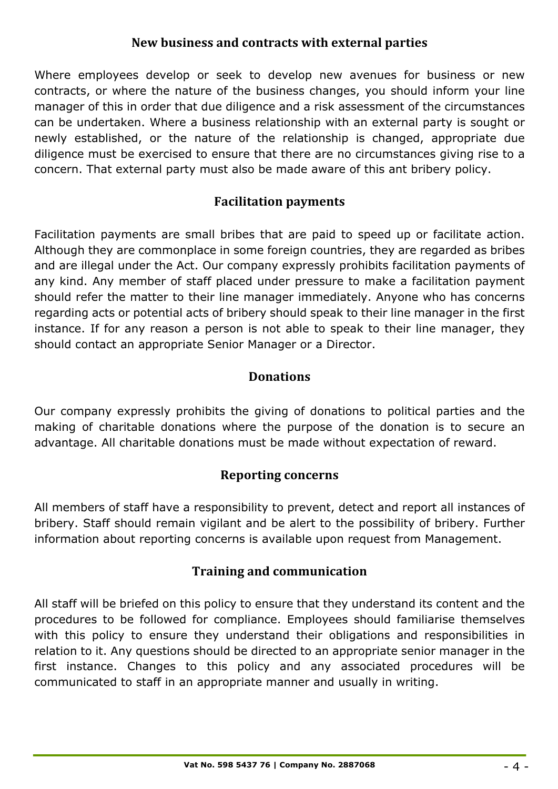#### **New business and contracts with external parties**

Where employees develop or seek to develop new avenues for business or new contracts, or where the nature of the business changes, you should inform your line manager of this in order that due diligence and a risk assessment of the circumstances can be undertaken. Where a business relationship with an external party is sought or newly established, or the nature of the relationship is changed, appropriate due diligence must be exercised to ensure that there are no circumstances giving rise to a concern. That external party must also be made aware of this ant bribery policy.

## **Facilitation payments**

Facilitation payments are small bribes that are paid to speed up or facilitate action. Although they are commonplace in some foreign countries, they are regarded as bribes and are illegal under the Act. Our company expressly prohibits facilitation payments of any kind. Any member of staff placed under pressure to make a facilitation payment should refer the matter to their line manager immediately. Anyone who has concerns regarding acts or potential acts of bribery should speak to their line manager in the first instance. If for any reason a person is not able to speak to their line manager, they should contact an appropriate Senior Manager or a Director.

#### **Donations**

Our company expressly prohibits the giving of donations to political parties and the making of charitable donations where the purpose of the donation is to secure an advantage. All charitable donations must be made without expectation of reward.

## **Reporting concerns**

All members of staff have a responsibility to prevent, detect and report all instances of bribery. Staff should remain vigilant and be alert to the possibility of bribery. Further information about reporting concerns is available upon request from Management.

## **Training and communication**

All staff will be briefed on this policy to ensure that they understand its content and the procedures to be followed for compliance. Employees should familiarise themselves with this policy to ensure they understand their obligations and responsibilities in relation to it. Any questions should be directed to an appropriate senior manager in the first instance. Changes to this policy and any associated procedures will be communicated to staff in an appropriate manner and usually in writing.